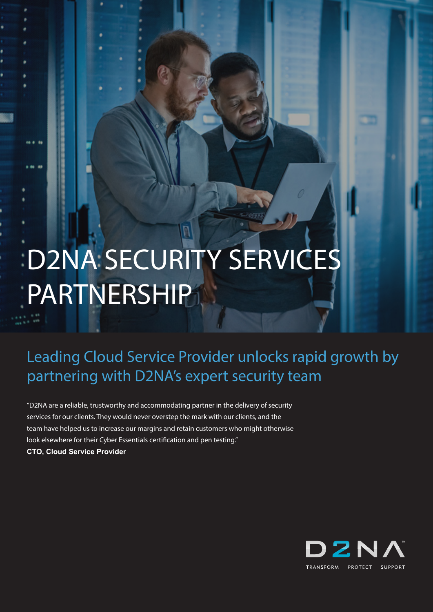# D2NA SECURITY SERVICES **PARTNERSHIP**

Leading Cloud Service Provider unlocks rapid growth by partnering with D2NA's expert security team

"D2NA are a reliable, trustworthy and accommodating partner in the delivery of security services for our clients. They would never overstep the mark with our clients, and the team have helped us to increase our margins and retain customers who might otherwise look elsewhere for their Cyber Essentials certification and pen testing." **CTO, Cloud Service Provider**